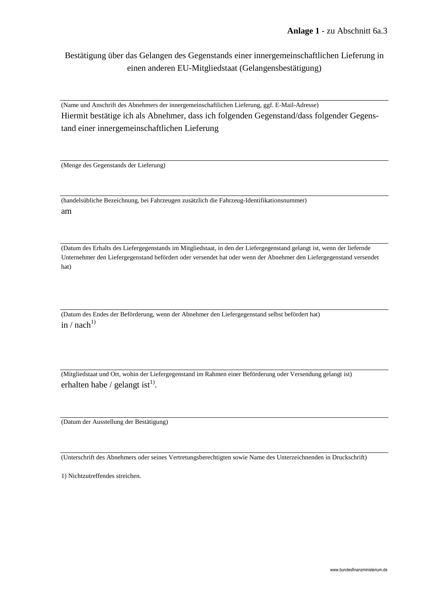Bestätigung über das Gelangen des Gegenstands einer innergemeinschaftlichen Lieferung in einen anderen EU-Mitgliedstaat (Gelangensbestätigung)

(Name und Anschrift des Abnehmers der innergemeinschaftlichen Lieferung, ggf. E-Mail-Adresse) Hiermit bestätige ich als Abnehmer, dass ich folgenden Gegenstand/dass folgender Gegenstand einer innergemeinschaftlichen Lieferung

(Menge des Gegenstands der Lieferung)

(handelsübliche Bezeichnung, bei Fahrzeugen zusätzlich die Fahrzeug-Identifikationsnummer) am

(Datum des Erhalts des Liefergegenstands im Mitgliedstaat, in den der Liefergegenstand gelangt ist, wenn der liefernde Unternehmer den Liefergegenstand befördert oder versendet hat oder wenn der Abnehmer den Liefergegenstand versendet hat)

(Datum des Endes der Beförderung, wenn der Abnehmer den Liefergegenstand selbst befördert hat) in / nach<sup>1)</sup>

(Mitgliedstaat und Ort, wohin der Liefergegenstand im Rahmen einer Beförderung oder Versendung gelangt ist) erhalten habe / gelangt ist $^{1)}$ .

(Datum der Ausstellung der Bestätigung)

(Unterschrift des Abnehmers oder seines Vertretungsberechtigten sowie Name des Unterzeichnenden in Druckschrift)

1) Nichtzutreffendes streichen.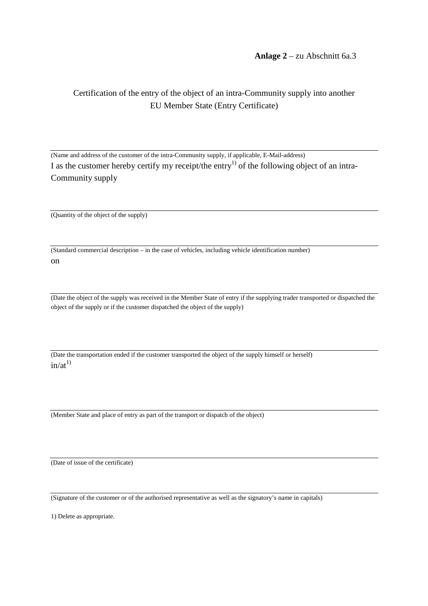**Anlage 2** – zu Abschnitt 6a.3

## Certification of the entry of the object of an intra-Community supply into another EU Member State (Entry Certificate)

(Name and address of the customer of the intra-Community supply, if applicable, E-Mail-address) I as the customer hereby certify my receipt/the entry<sup>1)</sup> of the following object of an intra-Community supply

(Quantity of the object of the supply)

(Standard commercial description – in the case of vehicles, including vehicle identification number) on

(Date the object of the supply was received in the Member State of entry if the supplying trader transported or dispatched the object of the supply or if the customer dispatched the object of the supply)

(Date the transportation ended if the customer transported the object of the supply himself or herself)  $in/at^{1}$ 

(Member State and place of entry as part of the transport or dispatch of the object)

(Date of issue of the certificate)

(Signature of the customer or of the authorised representative as well as the signatory's name in capitals)

1) Delete as appropriate.